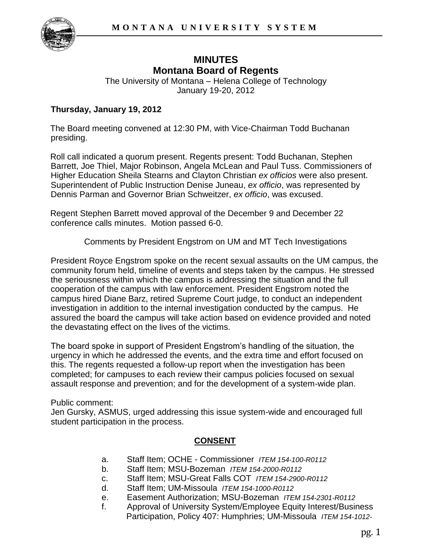

# **MINUTES Montana Board of Regents**

The University of Montana – Helena College of Technology January 19-20, 2012

#### **Thursday, January 19, 2012**

The Board meeting convened at 12:30 PM, with Vice-Chairman Todd Buchanan presiding.

Roll call indicated a quorum present. Regents present: Todd Buchanan, Stephen Barrett, Joe Thiel, Major Robinson, Angela McLean and Paul Tuss. Commissioners of Higher Education Sheila Stearns and Clayton Christian *ex officios* were also present. Superintendent of Public Instruction Denise Juneau, *ex officio*, was represented by Dennis Parman and Governor Brian Schweitzer, *ex officio*, was excused.

Regent Stephen Barrett moved approval of the December 9 and December 22 conference calls minutes. Motion passed 6-0.

Comments by President Engstrom on UM and MT Tech Investigations

President Royce Engstrom spoke on the recent sexual assaults on the UM campus, the community forum held, timeline of events and steps taken by the campus. He stressed the seriousness within which the campus is addressing the situation and the full cooperation of the campus with law enforcement. President Engstrom noted the campus hired Diane Barz, retired Supreme Court judge, to conduct an independent investigation in addition to the internal investigation conducted by the campus. He assured the board the campus will take action based on evidence provided and noted the devastating effect on the lives of the victims.

The board spoke in support of President Engstrom's handling of the situation, the urgency in which he addressed the events, and the extra time and effort focused on this. The regents requested a follow-up report when the investigation has been completed; for campuses to each review their campus policies focused on sexual assault response and prevention; and for the development of a system-wide plan.

Public comment:

Jen Gursky, ASMUS, urged addressing this issue system-wide and encouraged full student participation in the process.

## **CONSENT**

- a. Staff Item; OCHE Commissioner *ITEM 154-100-R0112*
- b. Staff Item; MSU-Bozeman *ITEM 154-2000-R0112*
- c. Staff Item; MSU-Great Falls COT *ITEM 154-2900-R0112*
- d. Staff Item; UM-Missoula *ITEM 154-1000-R0112*
- e. Easement Authorization; MSU-Bozeman *ITEM 154-2301-R0112*
- f. Approval of University System/Employee Equity Interest/Business Participation, Policy 407: Humphries; UM-Missoula *ITEM 154-1012-*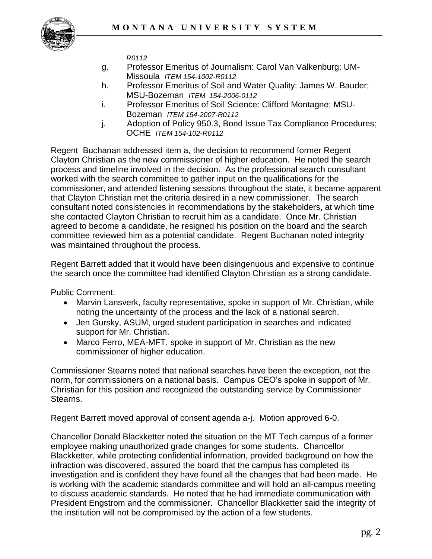

*R0112*

- g. Professor Emeritus of Journalism: Carol Van Valkenburg; UM-Missoula *ITEM 154-1002-R0112*
- h. Professor Emeritus of Soil and Water Quality: James W. Bauder; MSU-Bozeman *ITEM 154-2006-0112*
- i. Professor Emeritus of Soil Science: Clifford Montagne; MSU-Bozeman *ITEM 154-2007-R0112*
- j. Adoption of Policy 950.3, Bond Issue Tax Compliance Procedures; OCHE *ITEM 154-102-R0112*

Regent Buchanan addressed item a, the decision to recommend former Regent Clayton Christian as the new commissioner of higher education. He noted the search process and timeline involved in the decision. As the professional search consultant worked with the search committee to gather input on the qualifications for the commissioner, and attended listening sessions throughout the state, it became apparent that Clayton Christian met the criteria desired in a new commissioner. The search consultant noted consistencies in recommendations by the stakeholders, at which time she contacted Clayton Christian to recruit him as a candidate. Once Mr. Christian agreed to become a candidate, he resigned his position on the board and the search committee reviewed him as a potential candidate. Regent Buchanan noted integrity was maintained throughout the process.

Regent Barrett added that it would have been disingenuous and expensive to continue the search once the committee had identified Clayton Christian as a strong candidate.

Public Comment:

- Marvin Lansverk, faculty representative, spoke in support of Mr. Christian, while noting the uncertainty of the process and the lack of a national search.
- Jen Gursky, ASUM, urged student participation in searches and indicated support for Mr. Christian.
- Marco Ferro, MEA-MFT, spoke in support of Mr. Christian as the new commissioner of higher education.

Commissioner Stearns noted that national searches have been the exception, not the norm, for commissioners on a national basis. Campus CEO's spoke in support of Mr. Christian for this position and recognized the outstanding service by Commissioner Stearns.

Regent Barrett moved approval of consent agenda a-j. Motion approved 6-0.

Chancellor Donald Blackketter noted the situation on the MT Tech campus of a former employee making unauthorized grade changes for some students. Chancellor Blackketter, while protecting confidential information, provided background on how the infraction was discovered, assured the board that the campus has completed its investigation and is confident they have found all the changes that had been made. He is working with the academic standards committee and will hold an all-campus meeting to discuss academic standards. He noted that he had immediate communication with President Engstrom and the commissioner. Chancellor Blackketter said the integrity of the institution will not be compromised by the action of a few students.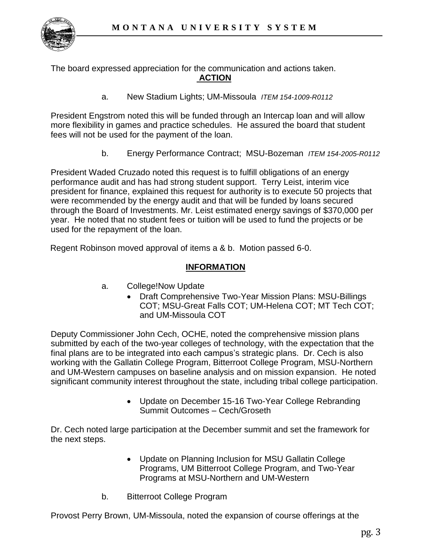

The board expressed appreciation for the communication and actions taken. **ACTION**

a. New Stadium Lights; UM-Missoula *ITEM 154-1009-R0112*

President Engstrom noted this will be funded through an Intercap loan and will allow more flexibility in games and practice schedules. He assured the board that student fees will not be used for the payment of the loan.

b. Energy Performance Contract; MSU-Bozeman *ITEM 154-2005-R0112* 

President Waded Cruzado noted this request is to fulfill obligations of an energy performance audit and has had strong student support. Terry Leist, interim vice president for finance, explained this request for authority is to execute 50 projects that were recommended by the energy audit and that will be funded by loans secured through the Board of Investments. Mr. Leist estimated energy savings of \$370,000 per year. He noted that no student fees or tuition will be used to fund the projects or be used for the repayment of the loan.

Regent Robinson moved approval of items a & b. Motion passed 6-0.

## **INFORMATION**

- a. College!Now Update
	- Draft Comprehensive Two-Year Mission Plans: MSU-Billings COT; MSU-Great Falls COT; UM-Helena COT; MT Tech COT; and UM-Missoula COT

Deputy Commissioner John Cech, OCHE, noted the comprehensive mission plans submitted by each of the two-year colleges of technology, with the expectation that the final plans are to be integrated into each campus's strategic plans. Dr. Cech is also working with the Gallatin College Program, Bitterroot College Program, MSU-Northern and UM-Western campuses on baseline analysis and on mission expansion. He noted significant community interest throughout the state, including tribal college participation.

> • Update on December 15-16 Two-Year College Rebranding Summit Outcomes – Cech/Groseth

Dr. Cech noted large participation at the December summit and set the framework for the next steps.

- Update on Planning Inclusion for MSU Gallatin College Programs, UM Bitterroot College Program, and Two-Year Programs at MSU-Northern and UM-Western
- b. Bitterroot College Program

Provost Perry Brown, UM-Missoula, noted the expansion of course offerings at the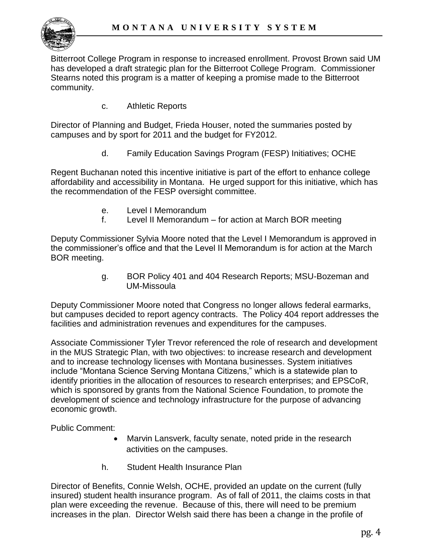

Bitterroot College Program in response to increased enrollment. Provost Brown said UM has developed a draft strategic plan for the Bitterroot College Program. Commissioner Stearns noted this program is a matter of keeping a promise made to the Bitterroot community.

c. Athletic Reports

Director of Planning and Budget, Frieda Houser, noted the summaries posted by campuses and by sport for 2011 and the budget for FY2012.

d. Family Education Savings Program (FESP) Initiatives; OCHE

Regent Buchanan noted this incentive initiative is part of the effort to enhance college affordability and accessibility in Montana. He urged support for this initiative, which has the recommendation of the FESP oversight committee.

- e. Level I Memorandum
- f. Level II Memorandum for action at March BOR meeting

Deputy Commissioner Sylvia Moore noted that the Level I Memorandum is approved in the commissioner's office and that the Level II Memorandum is for action at the March BOR meeting.

> g. BOR Policy 401 and 404 Research Reports; MSU-Bozeman and UM-Missoula

Deputy Commissioner Moore noted that Congress no longer allows federal earmarks, but campuses decided to report agency contracts. The Policy 404 report addresses the facilities and administration revenues and expenditures for the campuses.

Associate Commissioner Tyler Trevor referenced the role of research and development in the MUS Strategic Plan, with two objectives: to increase research and development and to increase technology licenses with Montana businesses. System initiatives include "Montana Science Serving Montana Citizens," which is a statewide plan to identify priorities in the allocation of resources to research enterprises; and EPSCoR, which is sponsored by grants from the National Science Foundation, to promote the development of science and technology infrastructure for the purpose of advancing economic growth.

Public Comment:

- Marvin Lansverk, faculty senate, noted pride in the research activities on the campuses.
- h. Student Health Insurance Plan

Director of Benefits, Connie Welsh, OCHE, provided an update on the current (fully insured) student health insurance program. As of fall of 2011, the claims costs in that plan were exceeding the revenue. Because of this, there will need to be premium increases in the plan. Director Welsh said there has been a change in the profile of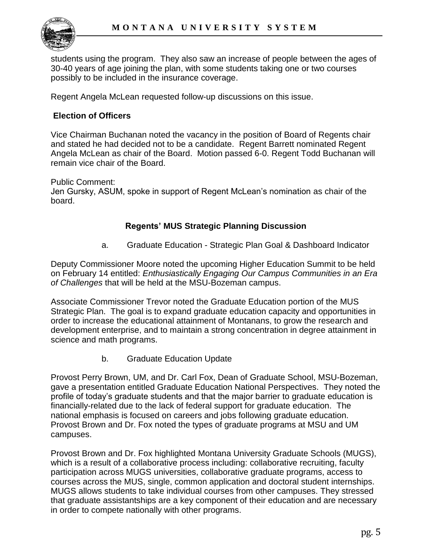

students using the program. They also saw an increase of people between the ages of 30-40 years of age joining the plan, with some students taking one or two courses possibly to be included in the insurance coverage.

Regent Angela McLean requested follow-up discussions on this issue.

## **Election of Officers**

Vice Chairman Buchanan noted the vacancy in the position of Board of Regents chair and stated he had decided not to be a candidate. Regent Barrett nominated Regent Angela McLean as chair of the Board. Motion passed 6-0. Regent Todd Buchanan will remain vice chair of the Board.

Public Comment:

Jen Gursky, ASUM, spoke in support of Regent McLean's nomination as chair of the board.

## **Regents' MUS Strategic Planning Discussion**

a. Graduate Education - Strategic Plan Goal & Dashboard Indicator

Deputy Commissioner Moore noted the upcoming Higher Education Summit to be held on February 14 entitled: *Enthusiastically Engaging Our Campus Communities in an Era of Challenges* that will be held at the MSU-Bozeman campus.

Associate Commissioner Trevor noted the Graduate Education portion of the MUS Strategic Plan. The goal is to expand graduate education capacity and opportunities in order to increase the educational attainment of Montanans, to grow the research and development enterprise, and to maintain a strong concentration in degree attainment in science and math programs.

b. Graduate Education Update

Provost Perry Brown, UM, and Dr. Carl Fox, Dean of Graduate School, MSU-Bozeman, gave a presentation entitled Graduate Education National Perspectives. They noted the profile of today's graduate students and that the major barrier to graduate education is financially-related due to the lack of federal support for graduate education. The national emphasis is focused on careers and jobs following graduate education. Provost Brown and Dr. Fox noted the types of graduate programs at MSU and UM campuses.

Provost Brown and Dr. Fox highlighted Montana University Graduate Schools (MUGS), which is a result of a collaborative process including: collaborative recruiting, faculty participation across MUGS universities, collaborative graduate programs, access to courses across the MUS, single, common application and doctoral student internships. MUGS allows students to take individual courses from other campuses. They stressed that graduate assistantships are a key component of their education and are necessary in order to compete nationally with other programs.